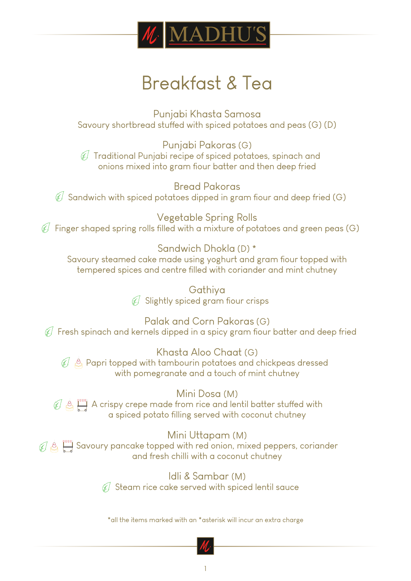

# Breakfast & Tea

Punjabi Khasta Samosa Savoury shortbread stuffed with spiced potatoes and peas (G) (D)

Punjabi Pakoras (G)  $\mathscr{A}$  Traditional Punjabi recipe of spiced potatoes, spinach and onions mixed into gram flour batter and then deep fried

Bread Pakoras  $\mathcal{G}$  Sandwich with spiced potatoes dipped in gram fiour and deep fried (G)

Vegetable Spring Rolls  $\mathcal{C}$  Finger shaped spring rolls filled with a mixture of potatoes and green peas (G)

Sandwich Dhokla (D) \* Savoury steamed cake made using yoghurt and gram fiour topped with tempered spices and centre filled with coriander and mint chutney

> Gathiya  $C$  Slightly spiced gram flour crisps

Palak and Corn Pakoras (G)  $\mathscr{F}$  Fresh spinach and kernels dipped in a spicy gram fiour batter and deep fried

Khasta Aloo Chaat (G)  $\mathcal{C}$   $\beta$  Papri topped with tambourin potatoes and chickpeas dressed with pomegranate and a touch of mint chutney

Mini Dosa (M)  $\mathcal{O} \triangleq \Box$  A crispy crepe made from rice and lentil batter stuffed with a spiced potato filling served with coconut chutney

#### Mini Uttapam (M)

 $\mathbb{Z} \otimes \Box$  Savoury pancake topped with red onion, mixed peppers, coriander and fresh chilli with a coconut chutney

> Idli & Sambar (M)  $\mathcal{G}$  Steam rice cake served with spiced lentil sauce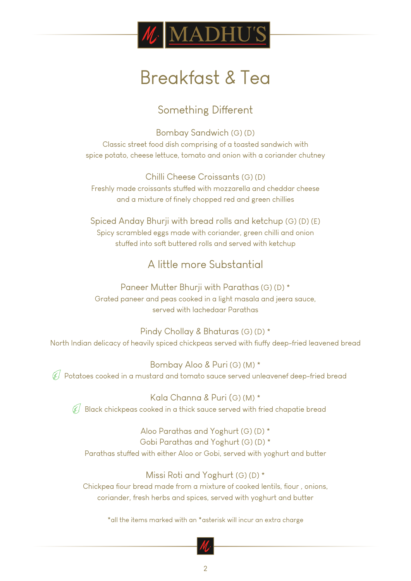

# Breakfast & Tea

### Something Different

Bombay Sandwich (G) (D) Classic street food dish comprising of a toasted sandwich with spice potato, cheese lettuce, tomato and onion with a coriander chutney

Chilli Cheese Croissants (G) (D) Freshly made croissants stuffed with mozzarella and cheddar cheese and a mixture of finely chopped red and green chillies

Spiced Anday Bhurji with bread rolls and ketchup (G) (D) (E) Spicy scrambled eggs made with coriander, green chilli and onion stuffed into soft buttered rolls and served with ketchup

### A little more Substantial

Paneer Mutter Bhurji with Parathas (G) (D) \* Grated paneer and peas cooked in a light masala and jeera sauce, served with lachedaar Parathas

Pindy Chollay & Bhaturas (G) (D) \* North Indian delicacy of heavily spiced chickpeas served with fiuffy deep-fried leavened bread

Bombay Aloo & Puri (G) (M) \*  $\mathscr G$  Potatoes cooked in a mustard and tomato sauce served unleavenef deep-fried bread

Kala Channa & Puri (G) (M) \*  $\mathcal{G}$  Black chickpeas cooked in a thick sauce served with fried chapatie bread

Aloo Parathas and Yoghurt (G) (D) \* Gobi Parathas and Yoghurt (G) (D) \* Parathas stuffed with either Aloo or Gobi, served with yoghurt and butter

#### Missi Roti and Yoghurt (G) (D) \*

Chickpea flour bread made from a mixture of cooked lentils, flour, onions, coriander, fresh herbs and spices, served with yoghurt and butter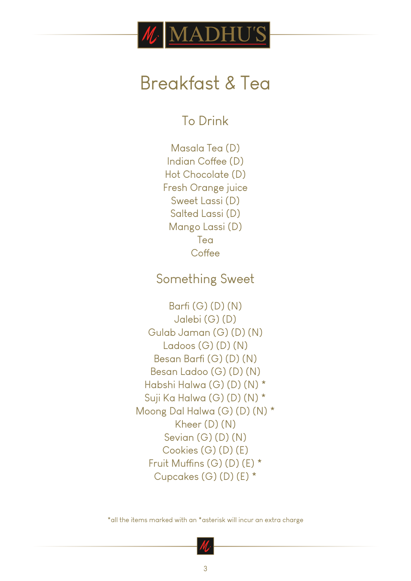

# Breakfast & Tea

To Drink

Masala Tea (D) Indian Coffee (D) Hot Chocolate (D) Fresh Orange juice Sweet Lassi (D) Salted Lassi (D) Mango Lassi (D) Tea **Coffee** 

### Something Sweet

Barfi (G) (D) (N) Jalebi (G) (D) Gulab Jaman (G) (D) (N) Ladoos (G) (D) (N) Besan Barfi (G) (D) (N) Besan Ladoo (G) (D) (N) Habshi Halwa (G) (D) (N) \* Suji Ka Halwa (G) (D) (N) \* Moong Dal Halwa (G) (D) (N) \* Kheer (D) (N) Sevian (G) (D) (N) Cookies (G) (D) (E) Fruit Muffins (G) (D) (E) \* Cupcakes (G) (D) (E) \*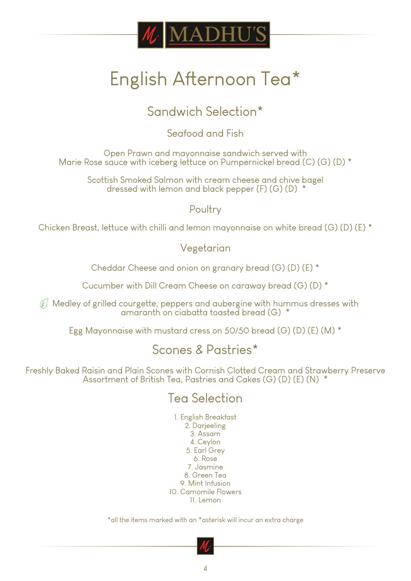

# English Afternoon Tea\*

## Sandwich Selection\*

Seafood and Fish

Open Prawn and mayonnaise sandwich served with Marie Rose sauce with iceberg lettuce on Pumpernickel bread (C) (G) (D) \*

Scottish Smoked Salmon with cream cheese and chive bagel dressed with lemon and black pepper (F) (G) (D) \*

Poultry

Chicken Breast, lettuce with chilli and lemon mayonnaise on white bread (G) (D) (E) \*

#### Vegetarian

Cheddar Cheese and onion on granary bread (G) (D) (E) \*

Cucumber with Dill Cream Cheese on caraway bread (G) (D) \*

 $\mathscr{C}$  Medley of grilled courgette, peppers and aubergine with hummus dresses with amaranth on ciabatta toasted bread (G) \*

Egg Mayonnaise with mustard cress on 50/50 bread (G) (D) (E) (M) \*

## Scones & Pastries\*

Freshly Baked Raisin and Plain Scones with Cornish Clotted Cream and Strawberry Preserve Assortment of British Tea, Pastries and Cakes (G) (D) (E) (N) \*

## Tea Selection

1. English Breakfast 2. Darjeeling 3. Assam 4. Ceylon 5. Earl Grey 6. Rose 7. Jasmine 8. Green Tea 9. Mint Infusion 10. Camomile Flowers 11. Lemon